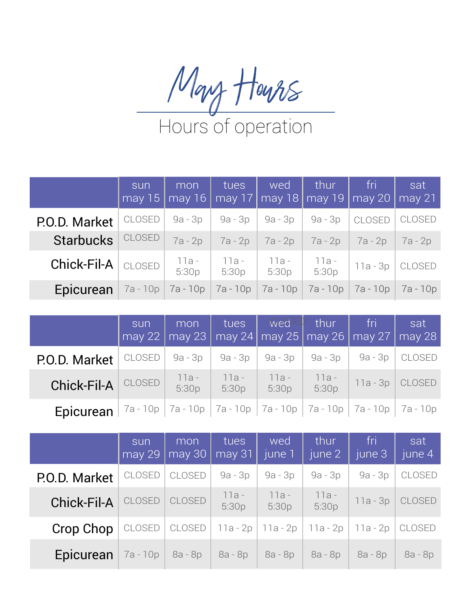

|                                       | sun    | mon<br>  may 15   may 16 | tues           | wed              | <b>Thur</b>      | fri -<br>may 17   may 18   may 19   may 20   may 21 | sat           |
|---------------------------------------|--------|--------------------------|----------------|------------------|------------------|-----------------------------------------------------|---------------|
| P.O.D. Market                         | CLOSED | 9a - 3p                  | 9a - 3p        | 9a - 3p          | 9a - 3p          | <b>CLOSED</b>                                       | <b>CLOSED</b> |
| <b>Starbucks</b>                      | CLOSED | $7a - 2p$                | $7a - 2p$      | $7a-2p$          | 7a - 2p          | 7a - 2p                                             | 7a - 2p       |
| $Chick$ -Fil-A $ $ $_{\text{CLOSED}}$ |        | 11a -<br>5:30p           | 11a -<br>5:30p | - 11a -<br>5:30p | 11a -<br>  5:30p | 11a - 3p                                            | <b>CLOSED</b> |
| Epicurean                             |        | $7a - 10p$ $7a - 10p$    | 7a - 10p       | $7a - 10p$       |                  | 7a - 10p   7a - 10p                                 | 7a - 10p      |

|                                                                                                          | sun | mon  <br>  may 22   may 23   may 24   may 25   may 26   may 27   may 28 |                |                                | $\begin{array}{ c c c c c }\n\hline \text{tues} & \text{WeG} & \text{that} & \text{fri} & \text{fri} & \text{f} \end{array}$ | sat |
|----------------------------------------------------------------------------------------------------------|-----|-------------------------------------------------------------------------|----------------|--------------------------------|------------------------------------------------------------------------------------------------------------------------------|-----|
| P.O.D. Market                                                                                            |     | $CLOSED   9a-3p   9a-3p   9a-3p   9a-3p   9a-3p   CLOSED$               |                |                                |                                                                                                                              |     |
| <b>Chick-Fil-A CLOSED</b>                                                                                |     | 11a -<br>5:30p                                                          | 11a -<br>5:30p | 11a - 11a -<br>  5:30p   5:30p | $11a-3p$ CLOSED                                                                                                              |     |
| <b>Epicurean</b>   <sup>7a - 10p   7a - 10p   7a - 10p   7a - 10p   7a - 10p   7a - 10p   7a - 10p</sup> |     |                                                                         |                |                                |                                                                                                                              |     |

|               | sun<br>may 29 | mon<br>$\vert$ may 30 | tues<br>$may$ 31 | wed<br>june 1         | thur<br>june 2 | fri<br>iune 3 <sup>1</sup> | sat<br>june 4 |
|---------------|---------------|-----------------------|------------------|-----------------------|----------------|----------------------------|---------------|
| P.O.D. Market | <b>CLOSED</b> | <b>CLOSED</b>         | 9a - 3p          | $9a - 3p$             | $9a - 3p$      | $9a - 3p$                  | <b>CLOSED</b> |
| Chick-Fil-A   | <b>CLOSED</b> | <b>CLOSED</b>         | 11a -<br>5:30p   | $11a -$<br>5:30p      | 11a -<br>5:30p | $11a - 3p$                 | CLOSED        |
| Crop Chop     | CLOSED        | CLOSED                |                  | $11a - 2p$   11a - 2p | 11a - 2p       | 11a - 2p                   | CLOSED        |
| Epicurean     |               | $7a - 10p$ 8a - 8p    | 8a - 8p          | 8a - 8p               | 8a - 8p        | 8a - 8p                    | 8a - 8p       |